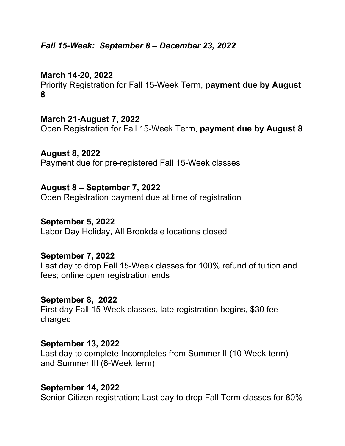# *Fall 15-Week: September 8 – December 23, 2022*

# **March 14-20, 2022**

Priority Registration for Fall 15-Week Term, **payment due by August 8**

### **March 21-August 7, 2022**

Open Registration for Fall 15-Week Term, **payment due by August 8**

**August 8, 2022** Payment due for pre-registered Fall 15-Week classes

## **August 8 – September 7, 2022**

Open Registration payment due at time of registration

#### **September 5, 2022**

Labor Day Holiday, All Brookdale locations closed

### **September 7, 2022**

Last day to drop Fall 15-Week classes for 100% refund of tuition and fees; online open registration ends

### **September 8, 2022**

First day Fall 15-Week classes, late registration begins, \$30 fee charged

#### **September 13, 2022**

Last day to complete Incompletes from Summer II (10-Week term) and Summer III (6-Week term)

### **September 14, 2022**

Senior Citizen registration; Last day to drop Fall Term classes for 80%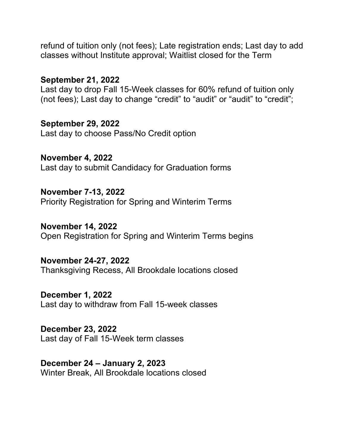refund of tuition only (not fees); Late registration ends; Last day to add classes without Institute approval; Waitlist closed for the Term

## **September 21, 2022**

Last day to drop Fall 15-Week classes for 60% refund of tuition only (not fees); Last day to change "credit" to "audit" or "audit" to "credit";

**September 29, 2022** Last day to choose Pass/No Credit option

**November 4, 2022** Last day to submit Candidacy for Graduation forms

**November 7-13, 2022** Priority Registration for Spring and Winterim Terms

**November 14, 2022** Open Registration for Spring and Winterim Terms begins

**November 24-27, 2022** Thanksgiving Recess, All Brookdale locations closed

**December 1, 2022** Last day to withdraw from Fall 15-week classes

**December 23, 2022** Last day of Fall 15-Week term classes

**December 24 – January 2, 2023** Winter Break, All Brookdale locations closed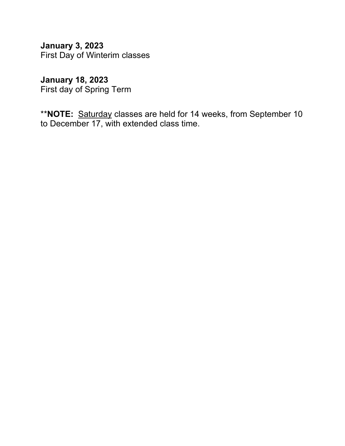**January 3, 2023** First Day of Winterim classes

**January 18, 2023** First day of Spring Term

\*\***NOTE:** Saturday classes are held for 14 weeks, from September 10 to December 17, with extended class time.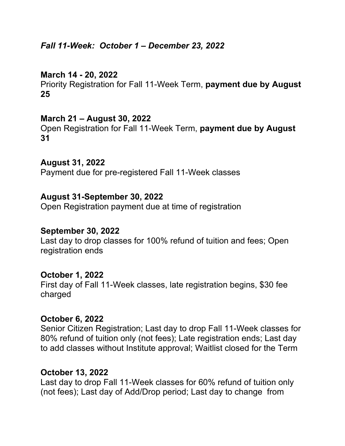# *Fall 11-Week: October 1 – December 23, 2022*

# **March 14 - 20, 2022**

Priority Registration for Fall 11-Week Term, **payment due by August 25**

## **March 21 – August 30, 2022**

Open Registration for Fall 11-Week Term, **payment due by August 31**

## **August 31, 2022**

Payment due for pre-registered Fall 11-Week classes

### **August 31-September 30, 2022**

Open Registration payment due at time of registration

#### **September 30, 2022**

Last day to drop classes for 100% refund of tuition and fees; Open registration ends

### **October 1, 2022**

First day of Fall 11-Week classes, late registration begins, \$30 fee charged

### **October 6, 2022**

Senior Citizen Registration; Last day to drop Fall 11-Week classes for 80% refund of tuition only (not fees); Late registration ends; Last day to add classes without Institute approval; Waitlist closed for the Term

### **October 13, 2022**

Last day to drop Fall 11-Week classes for 60% refund of tuition only (not fees); Last day of Add/Drop period; Last day to change from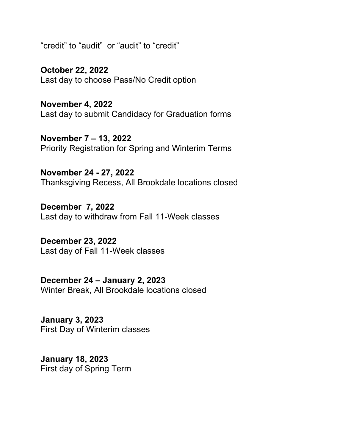"credit" to "audit" or "audit" to "credit"

**October 22, 2022** Last day to choose Pass/No Credit option

**November 4, 2022** Last day to submit Candidacy for Graduation forms

**November 7 – 13, 2022** Priority Registration for Spring and Winterim Terms

**November 24 - 27, 2022** Thanksgiving Recess, All Brookdale locations closed

**December 7, 2022** Last day to withdraw from Fall 11-Week classes

**December 23, 2022** Last day of Fall 11-Week classes

**December 24 – January 2, 2023** Winter Break, All Brookdale locations closed

**January 3, 2023** First Day of Winterim classes

**January 18, 2023** First day of Spring Term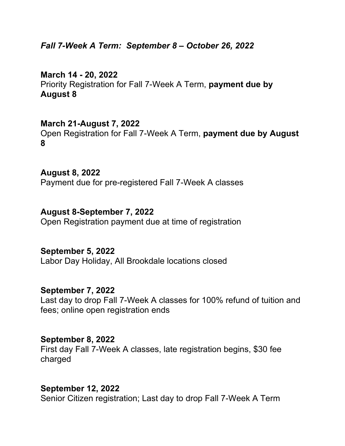*Fall 7-Week A Term: September 8 – October 26, 2022*

**March 14 - 20, 2022** Priority Registration for Fall 7-Week A Term, **payment due by August 8**

### **March 21-August 7, 2022**

Open Registration for Fall 7-Week A Term, **payment due by August 8**

**August 8, 2022** Payment due for pre-registered Fall 7-Week A classes

#### **August 8-September 7, 2022**

Open Registration payment due at time of registration

#### **September 5, 2022**

Labor Day Holiday, All Brookdale locations closed

#### **September 7, 2022**

Last day to drop Fall 7-Week A classes for 100% refund of tuition and fees; online open registration ends

#### **September 8, 2022**

First day Fall 7-Week A classes, late registration begins, \$30 fee charged

#### **September 12, 2022**

Senior Citizen registration; Last day to drop Fall 7-Week A Term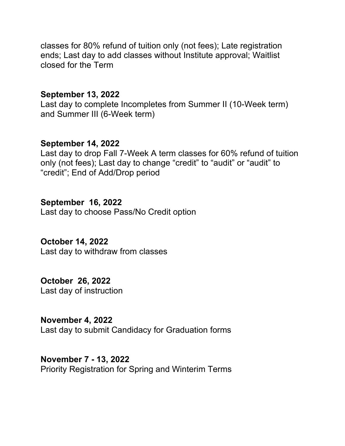classes for 80% refund of tuition only (not fees); Late registration ends; Last day to add classes without Institute approval; Waitlist closed for the Term

### **September 13, 2022**

Last day to complete Incompletes from Summer II (10-Week term) and Summer III (6-Week term)

## **September 14, 2022**

Last day to drop Fall 7-Week A term classes for 60% refund of tuition only (not fees); Last day to change "credit" to "audit" or "audit" to "credit"; End of Add/Drop period

### **September 16, 2022**

Last day to choose Pass/No Credit option

### **October 14, 2022**

Last day to withdraw from classes

### **October 26, 2022**

Last day of instruction

## **November 4, 2022**

Last day to submit Candidacy for Graduation forms

#### **November 7 - 13, 2022**

Priority Registration for Spring and Winterim Terms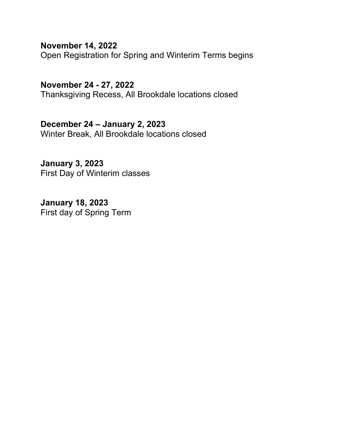**November 14, 2022**

Open Registration for Spring and Winterim Terms begins

**November 24 - 27, 2022** Thanksgiving Recess, All Brookdale locations closed

**December 24 – January 2, 2023** Winter Break, All Brookdale locations closed

**January 3, 2023** First Day of Winterim classes

**January 18, 2023** First day of Spring Term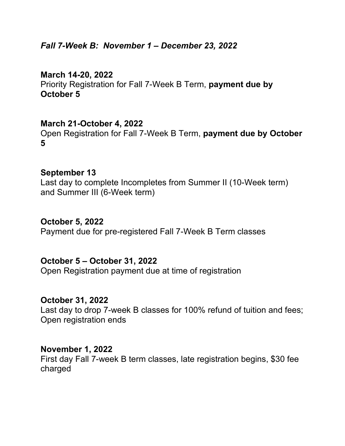# *Fall 7-Week B: November 1 – December 23, 2022*

# **March 14-20, 2022** Priority Registration for Fall 7-Week B Term, **payment due by October 5**

# **March 21-October 4, 2022**

Open Registration for Fall 7-Week B Term, **payment due by October 5**

### **September 13**

Last day to complete Incompletes from Summer II (10-Week term) and Summer III (6-Week term)

#### **October 5, 2022**

Payment due for pre-registered Fall 7-Week B Term classes

### **October 5 – October 31, 2022**

Open Registration payment due at time of registration

### **October 31, 2022**

Last day to drop 7-week B classes for 100% refund of tuition and fees; Open registration ends

#### **November 1, 2022**

First day Fall 7-week B term classes, late registration begins, \$30 fee charged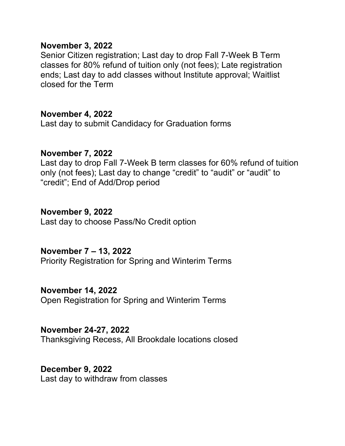### **November 3, 2022**

Senior Citizen registration; Last day to drop Fall 7-Week B Term classes for 80% refund of tuition only (not fees); Late registration ends; Last day to add classes without Institute approval; Waitlist closed for the Term

# **November 4, 2022**

Last day to submit Candidacy for Graduation forms

### **November 7, 2022**

Last day to drop Fall 7-Week B term classes for 60% refund of tuition only (not fees); Last day to change "credit" to "audit" or "audit" to "credit"; End of Add/Drop period

### **November 9, 2022**

Last day to choose Pass/No Credit option

# **November 7 – 13, 2022**

Priority Registration for Spring and Winterim Terms

# **November 14, 2022**

Open Registration for Spring and Winterim Terms

### **November 24-27, 2022**

Thanksgiving Recess, All Brookdale locations closed

### **December 9, 2022**

Last day to withdraw from classes